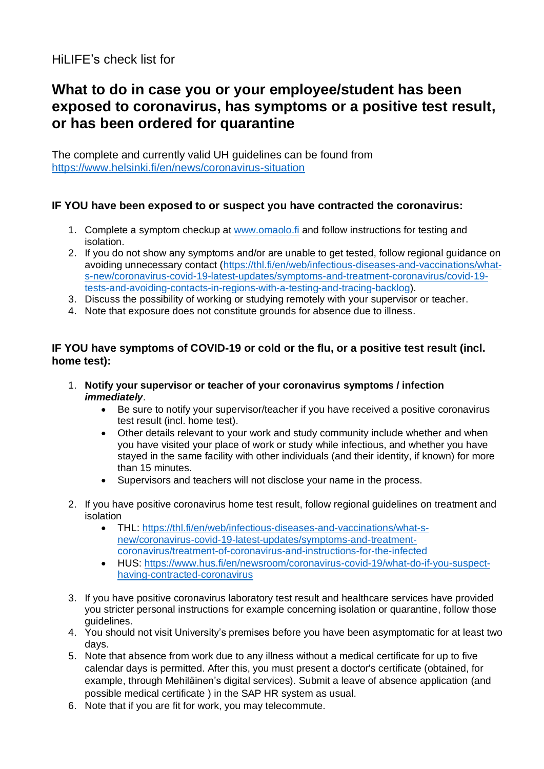# HiLIFE's check list for

# **What to do in case you or your employee/student has been exposed to coronavirus, has symptoms or a positive test result, or has been ordered for quarantine**

The complete and currently valid UH guidelines can be found from <https://www.helsinki.fi/en/news/coronavirus-situation>

#### **IF YOU have been exposed to or suspect you have contracted the coronavirus:**

- 1. Complete a symptom checkup at [www.omaolo.fi](https://www.omaolo.fi/) and follow instructions for testing and isolation.
- 2. If you do not show any symptoms and/or are unable to get tested, follow regional guidance on avoiding unnecessary contact [\(https://thl.fi/en/web/infectious-diseases-and-vaccinations/what](https://thl.fi/en/web/infectious-diseases-and-vaccinations/what-s-new/coronavirus-covid-19-latest-updates/symptoms-and-treatment-coronavirus/covid-19-tests-and-avoiding-contacts-in-regions-with-a-testing-and-tracing-backlog)[s-new/coronavirus-covid-19-latest-updates/symptoms-and-treatment-coronavirus/covid-19](https://thl.fi/en/web/infectious-diseases-and-vaccinations/what-s-new/coronavirus-covid-19-latest-updates/symptoms-and-treatment-coronavirus/covid-19-tests-and-avoiding-contacts-in-regions-with-a-testing-and-tracing-backlog) [tests-and-avoiding-contacts-in-regions-with-a-testing-and-tracing-backlog\)](https://thl.fi/en/web/infectious-diseases-and-vaccinations/what-s-new/coronavirus-covid-19-latest-updates/symptoms-and-treatment-coronavirus/covid-19-tests-and-avoiding-contacts-in-regions-with-a-testing-and-tracing-backlog).
- 3. Discuss the possibility of working or studying remotely with your supervisor or teacher.
- 4. Note that exposure does not constitute grounds for absence due to illness.

#### **IF YOU have symptoms of COVID-19 or cold or the flu, or a positive test result (incl. home test):**

- 1. **Notify your supervisor or teacher of your coronavirus symptoms / infection** *immediately*.
	- Be sure to notify your supervisor/teacher if you have received a positive coronavirus test result (incl. home test).
	- Other details relevant to your work and study community include whether and when you have visited your place of work or study while infectious, and whether you have stayed in the same facility with other individuals (and their identity, if known) for more than 15 minutes.
	- Supervisors and teachers will not disclose your name in the process.
- 2. If you have positive coronavirus home test result, follow regional guidelines on treatment and isolation
	- THL: [https://thl.fi/en/web/infectious-diseases-and-vaccinations/what-s](https://thl.fi/en/web/infectious-diseases-and-vaccinations/what-s-new/coronavirus-covid-19-latest-updates/symptoms-and-treatment-coronavirus/treatment-of-coronavirus-and-instructions-for-the-infected)[new/coronavirus-covid-19-latest-updates/symptoms-and-treatment](https://thl.fi/en/web/infectious-diseases-and-vaccinations/what-s-new/coronavirus-covid-19-latest-updates/symptoms-and-treatment-coronavirus/treatment-of-coronavirus-and-instructions-for-the-infected)[coronavirus/treatment-of-coronavirus-and-instructions-for-the-infected](https://thl.fi/en/web/infectious-diseases-and-vaccinations/what-s-new/coronavirus-covid-19-latest-updates/symptoms-and-treatment-coronavirus/treatment-of-coronavirus-and-instructions-for-the-infected)
	- HUS: [https://www.hus.fi/en/newsroom/coronavirus-covid-19/what-do-if-you-suspect](https://www.hus.fi/en/newsroom/coronavirus-covid-19/what-do-if-you-suspect-having-contracted-coronavirus)[having-contracted-coronavirus](https://www.hus.fi/en/newsroom/coronavirus-covid-19/what-do-if-you-suspect-having-contracted-coronavirus)
- 3. If you have positive coronavirus laboratory test result and healthcare services have provided you stricter personal instructions for example concerning isolation or quarantine, follow those guidelines.
- 4. You should not visit University's premises before you have been asymptomatic for at least two days.
- 5. Note that absence from work due to any illness without a medical certificate for up to five calendar days is permitted. After this, you must present a doctor's certificate (obtained, for example, through Mehiläinen's digital services). Submit a leave of absence application (and possible medical certificate ) in the SAP HR system as usual.
- 6. Note that if you are fit for work, you may telecommute.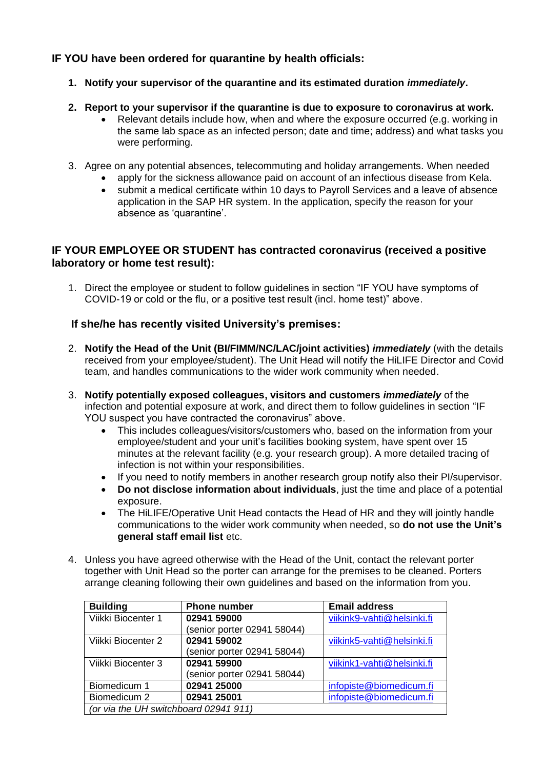## **IF YOU have been ordered for quarantine by health officials:**

- **1. Notify your supervisor of the quarantine and its estimated duration** *immediately***.**
- **2. Report to your supervisor if the quarantine is due to exposure to coronavirus at work.** 
	- Relevant details include how, when and where the exposure occurred (e.g. working in the same lab space as an infected person; date and time; address) and what tasks you were performing.
- 3. Agree on any potential absences, telecommuting and holiday arrangements. When needed
	- apply for the sickness allowance paid on account of an infectious disease from Kela.
	- submit a medical certificate within 10 days to Payroll Services and a leave of absence application in the SAP HR system. In the application, specify the reason for your absence as 'quarantine'.

### **IF YOUR EMPLOYEE OR STUDENT has contracted coronavirus (received a positive laboratory or home test result):**

1. Direct the employee or student to follow guidelines in section "IF YOU have symptoms of COVID-19 or cold or the flu, or a positive test result (incl. home test)" above.

### **If she/he has recently visited University's premises:**

- 2. **Notify the Head of the Unit (BI/FIMM/NC/LAC/joint activities)** *immediately* (with the details received from your employee/student). The Unit Head will notify the HiLIFE Director and Covid team, and handles communications to the wider work community when needed.
- 3. **Notify potentially exposed colleagues, visitors and customers** *immediately* of the infection and potential exposure at work, and direct them to follow guidelines in section "IF YOU suspect you have contracted the coronavirus" above.
	- This includes colleagues/visitors/customers who, based on the information from your employee/student and your unit's facilities booking system, have spent over 15 minutes at the relevant facility (e.g. your research group). A more detailed tracing of infection is not within your responsibilities.
	- If you need to notify members in another research group notify also their PI/supervisor.
	- **Do not disclose information about individuals**, just the time and place of a potential exposure.
	- The HiLIFE/Operative Unit Head contacts the Head of HR and they will jointly handle communications to the wider work community when needed, so **do not use the Unit's general staff email list** etc.
- 4. Unless you have agreed otherwise with the Head of the Unit, contact the relevant porter together with Unit Head so the porter can arrange for the premises to be cleaned. Porters arrange cleaning following their own guidelines and based on the information from you.

| <b>Building</b>                       | <b>Phone number</b>         | <b>Email address</b>       |
|---------------------------------------|-----------------------------|----------------------------|
| Viikki Biocenter 1                    | 02941 59000                 | viikink9-vahti@helsinki.fi |
|                                       | (senior porter 02941 58044) |                            |
| Viikki Biocenter 2                    | 02941 59002                 | viikink5-vahti@helsinki.fi |
|                                       | (senior porter 02941 58044) |                            |
| Viikki Biocenter 3                    | 02941 59900                 | viikink1-vahti@helsinki.fi |
|                                       | (senior porter 02941 58044) |                            |
| Biomedicum 1                          | 02941 25000                 | infopiste@biomedicum.fi    |
| Biomedicum 2                          | 02941 25001                 | infopiste@biomedicum.fi    |
| (or via the UH switchboard 02941 911) |                             |                            |